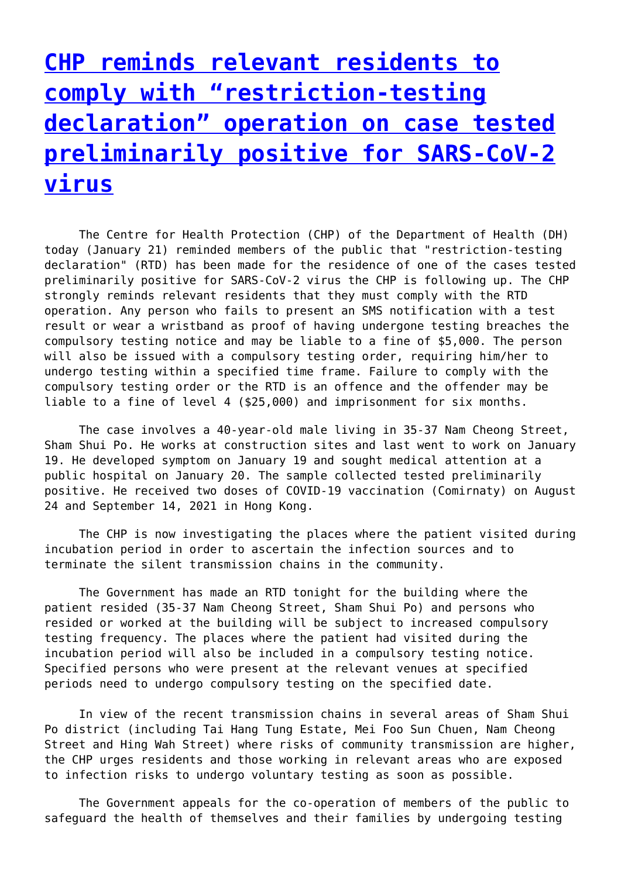## **[CHP reminds relevant residents to](http://www.government-world.com/chp-reminds-relevant-residents-to-comply-with-restriction-testing-declaration-operation-on-case-tested-preliminarily-positive-for-sars-cov-2-virus-5/) [comply with "restriction-testing](http://www.government-world.com/chp-reminds-relevant-residents-to-comply-with-restriction-testing-declaration-operation-on-case-tested-preliminarily-positive-for-sars-cov-2-virus-5/) [declaration" operation on case tested](http://www.government-world.com/chp-reminds-relevant-residents-to-comply-with-restriction-testing-declaration-operation-on-case-tested-preliminarily-positive-for-sars-cov-2-virus-5/) [preliminarily positive for SARS-CoV-2](http://www.government-world.com/chp-reminds-relevant-residents-to-comply-with-restriction-testing-declaration-operation-on-case-tested-preliminarily-positive-for-sars-cov-2-virus-5/) [virus](http://www.government-world.com/chp-reminds-relevant-residents-to-comply-with-restriction-testing-declaration-operation-on-case-tested-preliminarily-positive-for-sars-cov-2-virus-5/)**

 The Centre for Health Protection (CHP) of the Department of Health (DH) today (January 21) reminded members of the public that "restriction-testing declaration" (RTD) has been made for the residence of one of the cases tested preliminarily positive for SARS-CoV-2 virus the CHP is following up. The CHP strongly reminds relevant residents that they must comply with the RTD operation. Any person who fails to present an SMS notification with a test result or wear a wristband as proof of having undergone testing breaches the compulsory testing notice and may be liable to a fine of \$5,000. The person will also be issued with a compulsory testing order, requiring him/her to undergo testing within a specified time frame. Failure to comply with the compulsory testing order or the RTD is an offence and the offender may be liable to a fine of level 4 (\$25,000) and imprisonment for six months.

 The case involves a 40-year-old male living in 35-37 Nam Cheong Street, Sham Shui Po. He works at construction sites and last went to work on January 19. He developed symptom on January 19 and sought medical attention at a public hospital on January 20. The sample collected tested preliminarily positive. He received two doses of COVID-19 vaccination (Comirnaty) on August 24 and September 14, 2021 in Hong Kong.

 The CHP is now investigating the places where the patient visited during incubation period in order to ascertain the infection sources and to terminate the silent transmission chains in the community.

 The Government has made an RTD tonight for the building where the patient resided (35-37 Nam Cheong Street, Sham Shui Po) and persons who resided or worked at the building will be subject to increased compulsory testing frequency. The places where the patient had visited during the incubation period will also be included in a compulsory testing notice. Specified persons who were present at the relevant venues at specified periods need to undergo compulsory testing on the specified date.

 In view of the recent transmission chains in several areas of Sham Shui Po district (including Tai Hang Tung Estate, Mei Foo Sun Chuen, Nam Cheong Street and Hing Wah Street) where risks of community transmission are higher, the CHP urges residents and those working in relevant areas who are exposed to infection risks to undergo voluntary testing as soon as possible.

 The Government appeals for the co-operation of members of the public to safeguard the health of themselves and their families by undergoing testing